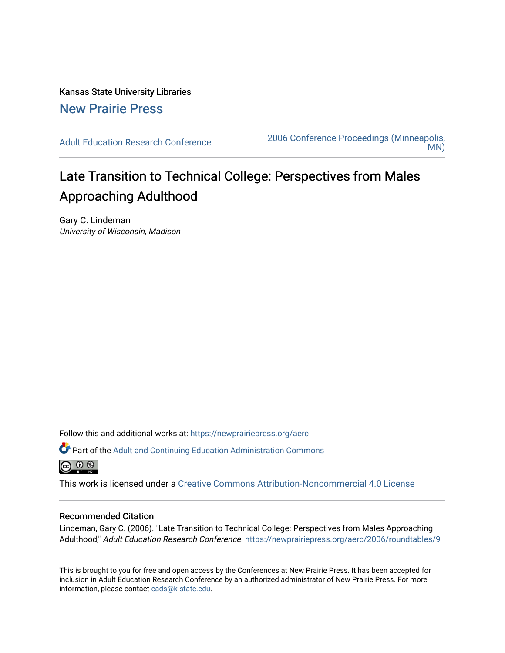Kansas State University Libraries [New Prairie Press](https://newprairiepress.org/) 

[Adult Education Research Conference](https://newprairiepress.org/aerc) [2006 Conference Proceedings \(Minneapolis,](https://newprairiepress.org/aerc/2006)  [MN\)](https://newprairiepress.org/aerc/2006) 

# Late Transition to Technical College: Perspectives from Males Approaching Adulthood

Gary C. Lindeman University of Wisconsin, Madison

Follow this and additional works at: [https://newprairiepress.org/aerc](https://newprairiepress.org/aerc?utm_source=newprairiepress.org%2Faerc%2F2006%2Froundtables%2F9&utm_medium=PDF&utm_campaign=PDFCoverPages)

Part of the [Adult and Continuing Education Administration Commons](http://network.bepress.com/hgg/discipline/789?utm_source=newprairiepress.org%2Faerc%2F2006%2Froundtables%2F9&utm_medium=PDF&utm_campaign=PDFCoverPages) <u>ெ ெ ⊜</u>

This work is licensed under a [Creative Commons Attribution-Noncommercial 4.0 License](https://creativecommons.org/licenses/by-nc/4.0/)

## Recommended Citation

Lindeman, Gary C. (2006). "Late Transition to Technical College: Perspectives from Males Approaching Adulthood," Adult Education Research Conference.<https://newprairiepress.org/aerc/2006/roundtables/9>

This is brought to you for free and open access by the Conferences at New Prairie Press. It has been accepted for inclusion in Adult Education Research Conference by an authorized administrator of New Prairie Press. For more information, please contact [cads@k-state.edu](mailto:cads@k-state.edu).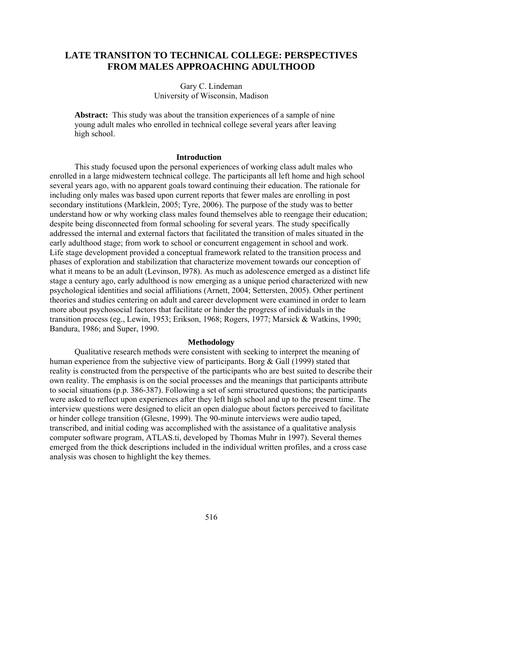# **LATE TRANSITON TO TECHNICAL COLLEGE: PERSPECTIVES FROM MALES APPROACHING ADULTHOOD**

Gary C. Lindeman University of Wisconsin, Madison

**Abstract:** This study was about the transition experiences of a sample of nine young adult males who enrolled in technical college several years after leaving high school.

#### **Introduction**

This study focused upon the personal experiences of working class adult males who enrolled in a large midwestern technical college. The participants all left home and high school several years ago, with no apparent goals toward continuing their education. The rationale for including only males was based upon current reports that fewer males are enrolling in post secondary institutions (Marklein, 2005; Tyre, 2006). The purpose of the study was to better understand how or why working class males found themselves able to reengage their education; despite being disconnected from formal schooling for several years. The study specifically addressed the internal and external factors that facilitated the transition of males situated in the early adulthood stage; from work to school or concurrent engagement in school and work. Life stage development provided a conceptual framework related to the transition process and phases of exploration and stabilization that characterize movement towards our conception of what it means to be an adult (Levinson, l978). As much as adolescence emerged as a distinct life stage a century ago, early adulthood is now emerging as a unique period characterized with new psychological identities and social affiliations (Arnett, 2004; Settersten, 2005). Other pertinent theories and studies centering on adult and career development were examined in order to learn more about psychosocial factors that facilitate or hinder the progress of individuals in the transition process (eg., Lewin, 1953; Erikson, 1968; Rogers, 1977; Marsick & Watkins, 1990; Bandura, 1986; and Super, 1990.

### **Methodology**

Qualitative research methods were consistent with seeking to interpret the meaning of human experience from the subjective view of participants. Borg & Gall (1999) stated that reality is constructed from the perspective of the participants who are best suited to describe their own reality. The emphasis is on the social processes and the meanings that participants attribute to social situations (p.p. 386-387). Following a set of semi structured questions; the participants were asked to reflect upon experiences after they left high school and up to the present time. The interview questions were designed to elicit an open dialogue about factors perceived to facilitate or hinder college transition (Glesne, 1999). The 90-minute interviews were audio taped, transcribed, and initial coding was accomplished with the assistance of a qualitative analysis computer software program, ATLAS.ti, developed by Thomas Muhr in 1997). Several themes emerged from the thick descriptions included in the individual written profiles, and a cross case analysis was chosen to highlight the key themes.

516